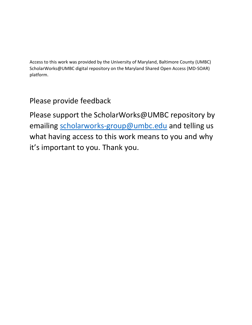Access to this work was provided by the University of Maryland, Baltimore County (UMBC) ScholarWorks@UMBC digital repository on the Maryland Shared Open Access (MD-SOAR) platform.

# Please provide feedback

Please support the ScholarWorks@UMBC repository by emailing [scholarworks-group@umbc.edu](mailto:scholarworks-group@umbc.edu) and telling us what having access to this work means to you and why it's important to you. Thank you.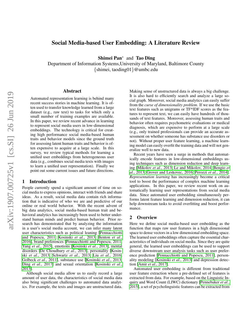# Social Media-based User Embedding: A Literature Review

Shimei Pan<sup>∗</sup> and Tao Ding

Department of Information Systems,University of Maryland, Baltimore County {shimei, taoding01}@umbc.edu

#### Abstract

Automated representation learning is behind many recent success stories in machine learning. It is often used to transfer knowledge learned from a large dataset (e.g., raw text) to tasks for which only a small number of training examples are available. In this paper, we review recent advance in learning to represent social media users in low-dimensional embeddings. The technology is critical for creating high performance social media-based human traits and behavior models since the ground truth for assessing latent human traits and behavior is often expensive to acquire at a large scale. In this survey, we review typical methods for learning a unified user embeddings from heterogeneous user data (e.g., combines social media texts with images to learn a unified user representation). Finally we point out some current issues and future directions.

#### 1 Introduction

People currently spend a significant amount of time on social media to express opinions, interact with friends and share ideas. As a result, social media data contain rich information that is indicative of who we are and predictive of our online or real world behavior. With the recent advent of big data analytics, social media-based human trait and behavioral analytics has increasingly been used to better understand human minds and predict human behavior. Prior research has demonstrated that by analyzing the information in a user's social media account, we can infer many latent user characteristics such as political leaning [\[Pennacchiotti](#page-7-0) [and Popescu, 2011;](#page-7-0) [Kosinski](#page-7-1) *et al.*, 2013; [Benton](#page-7-2) *et al.*, [2016\]](#page-7-2), brand preferences [\[Pennacchiotti and Popescu, 2011;](#page-7-0) Yang *et al.*[, 2015\]](#page-7-3), emotions [\[Kosinski](#page-7-1) *et al.*, 2013], mental disorders [\[De Choudhury](#page-7-4) *et al.*, 2013], personality [\[Kosin](#page-7-1)ski *et al.*[, 2013;](#page-7-1) [Schwartz](#page-7-5) *et al.*, 2013; Liu *et al.*[, 2016;](#page-7-6) [Golbeck](#page-7-7) *et al.*, 2011], substance use [\[Kosinski](#page-7-1) *et al.*, 2013; Ding *et al.*[, 2017\]](#page-7-8) and sexual orientation [\[Kosinski](#page-7-1) *et al.*, [2013\]](#page-7-1).

Although social media allow us to easily record a large amount of user data, the characteristics of social media data also bring significant challenges to automated data analytics. For example, the texts and images are unstructured data. Making sense of unstructured data is always a big challenge. It is also hard to efficiently search and analyze a large social graph. Moreover, social media analytics can easily suffer from the *curse of dimensionality problem*. If we use the basic text features such as unigrams or TF\*IDF scores as the features to represent text, we can easily have hundreds of thousands of text features. Moreover, assessing human traits and behavior often requires psychometric evaluations or medical diagnosis, which are expensive to perform at a large scale (e.g., only trained professionals can provide an accurate assessment on whether someone has substance use disorders or not). Without proper user feature learning, a machine learning model can easily overfit the training data and will not generalize well to new data.

Recent years have seen a surge in methods that automatically encode features in low-dimensional embeddings using techniques such as dimension reduction and deep learning [\[Mikolov](#page-7-9) *et al.*, 2013; [Le and Mikolov, 2014;](#page-7-10) [Bengio](#page-7-11) *et al.*[, 2013;](#page-7-11) [Grover and Leskovec, 2016;](#page-7-12) [Perozzi](#page-7-13) *et al.*, 2014]. *Representation learning* has increasingly become a critical tool to boost the performance of complex machine learning applications. In this paper, we review recent work on automatically learning user representations from social media data. Since automated user embedding simultaneously performs latent feature learning and dimension reduction, it can help downstream tasks to avoid overfitting and boost performance.

#### 2 Overview

Here we define social media-based user embedding as the function that maps raw user features in a high dimensional space to dense vectors in a low dimensional embedding space. The learned user embeddings often capture the essential characteristics of individuals on social media. Since they are quite general, the learned user embeddings can be used to support diverse downstream user analysis tasks such as user preference prediction [\[Pennacchiotti and Popescu, 2011\]](#page-7-0), personality modeling [\[Kosinski](#page-7-1) *et al.*, 2013] and depression detection [Amir *et al.*[, 2017\]](#page-7-14).

Automated user embedding is different from traditional user feature extraction where a pre-defined set of features is extracted from data. For example, based on the Linguistic Inquiry and Word Count (LIWC) dictionary [\[Pennebaker](#page-7-15) *et al.*, [2015\]](#page-7-15), a set of pcycholinguistic features can be extracted from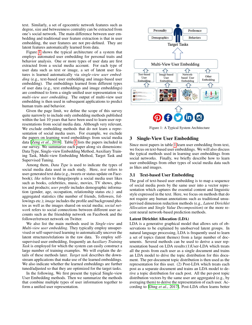text. Similarly, a set of egocentric network features such as degree, size and betweenness centrality can be extracted from one's social network. The main difference between user embedding and traditional user feature extraction is that in user embedding, the user features are not pre-defined. They are latent features automatically learned from data.

Figure [1](#page-2-0) shows the typical architecture of a system that employs automated user embedding for personal traits and behavior analysis. One or more types of user data are first extracted from a social media account. For each type of user data such as text or image, a set of latent user features is learned automatically via *single-view user embedding* (e.g., text-based user embedding and image-based user embedding). The embeddings learned from different types of user data (e.g., text embeddings and image embeddings) are combined to form a single unified user representation via *multi-view user embedding*. The output of multi-view user embedding is then used in subsequent applications to predict human traits and behavior.

Given the page limit, we define the scope of this survey quite narrowly to include only embedding methods published within the last 10 years that have been used to learn user representations from social media data. Although very relevant, We exclude embedding methods that do not learn a representation of social media users. For example, we exclude the papers on learning word embeddings from social media data [Zeng *et al.*[, 2018\]](#page-7-16). Table [1](#page-3-0) lists the papers included in our survey. We summarize each paper along six dimensions: Data Type, Single-view Embedding Method, Auxiliary Training Task, Multi-view Embedding Method, Target Task and Supervised Tuning.

Among them, *Data Type* is used to indicate the types of social media data used in each study. Here, *text* refers to user-generated text data (e.g., tweets or status update on Facebook); *like* refers to things/people a social media user likes such as books, celebrities, music, movies, TV shows, photos and products; *user profile* includes demographic information (gender, age, occupation, relationship status etc.) and aggregated statistics (the number of friends, followers, followings etc.); *image* includes the profile and background photos as well as the images shared on social media; *social network* refers to social connections between different user accounts such as the friendship network on Facebook and the follower/retweet network on Twitter.

We also list the main methods used in *Single-view* and *Multi-view user embedding*. They typically employ unsupervised or self-supervised learning to automatically uncover the latent structures/relations in the raw data. To employ selfsupervised user embedding, frequently an *Auxiliary Training Task* is employed for which the system can easily construct a large number of training examples. We will explain the details of these methods later. *Target task* describes the downstream applications that make use of the learned embeddings. We also indicate whether the learned embeddings are further tuned/adjusted so that they are optimized for the target tasks.

In the following, We first present the typical Single-view User Embedding methods. Then we summarize the methods that combine multiple types of user information together to form a unified user representation.

<span id="page-2-0"></span>

Figure 1: A Typical System Architecture

# 3 Single-View User Embedding

Since most papers in table [1](#page-3-0) learn user embedding from text, we focus on text-based user embeddings. We will also discuss the typical methods used in learning user embeddings from social networks. Finally, we briefly describe how to learn user embeddings from other types of social media data such as likes and images.

#### 3.1 Text-based User Embedding

The goal of text-based user embedding is to map a sequence of social media posts by the same user into a vector representation which captures the essential content and linguistic style expressed in the text. Here, we focus on methods that do not require any human annotations such as traditional unsupervised dimension reduction methods (e.g., *Latent Dirichlet Allocation* and *Single Value Decomposition*) or the more recent neural network-based prediction methods.

#### Latent Dirichlet Allocation (LDA)

LDA is a generative graphical model that allows sets of observations to be explained by unobserved latent groups. In natural language processing, LDA is frequently used to learn a set of topics (latent themes) from a large number of documents. Several methods can be used to derive a user representation based on LDA results:(1)User-LDA which treats all the posts from each user as a single document and trains an LDA model to drive the topic distribution for this document. The per-document topic distribution is then used as the representation for this user. (2) Post-LDA which treats each post as a separate document and trains an LDA model to derive a topic distribution for each post. All the per-post topic distribution vectors by the same user are aggregated (e.g., by averaging them) to derive the representation of each user. According to [Ding *et al.*[, 2017\]](#page-7-8), Post-LDA often learns better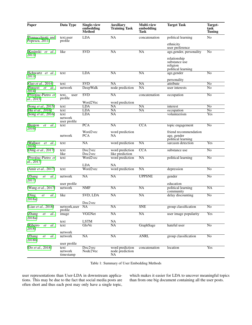<span id="page-3-0"></span>

| Paper                                       | Data Type                       | Single-view<br>embedding<br><b>Method</b> | <b>Auxiliary</b><br><b>Training Task</b> | <b>Multi-view</b><br>embedding<br>Task | <b>Target Task</b>                                              | Target-<br>task<br><b>Tuning</b> |
|---------------------------------------------|---------------------------------|-------------------------------------------|------------------------------------------|----------------------------------------|-----------------------------------------------------------------|----------------------------------|
| [Pennacchiotti and<br>Popescu, 2011]        | text, user<br>profile           | <b>LDA</b>                                | NA                                       | concatenation                          | political learning                                              | N <sub>o</sub>                   |
|                                             |                                 |                                           |                                          |                                        | ethnicity<br>user preference                                    |                                  |
| Kosinski et<br>al.<br>20131                 | like                            | <b>SVD</b>                                | $\overline{\text{NA}}$                   | NA                                     | age, gender, personality                                        | N <sub>0</sub>                   |
|                                             |                                 |                                           |                                          |                                        | relationship<br>substance use<br>religion<br>political learning |                                  |
| Schwartz et al.,<br>2013 <sub>1</sub>       | text                            | LDA                                       | $\overline{\text{NA}}$                   | NA                                     | age, gender<br>personality                                      | $\overline{No}$                  |
| Gao et al., 2014]                           | text                            | <b>SVD</b>                                | NA                                       | NA                                     | attribute                                                       | N <sub>0</sub>                   |
| Perozzi<br>et<br>al.,<br>2014               | network                         | DeepWalk                                  | node prediction                          | $\overline{\text{NA}}$                 | user interests                                                  | $\overline{No}$                  |
| [Preoțiuc-Pietro et<br>al., 2015]           | text,<br>user<br>profile        | <b>SVD</b>                                | NA                                       | concatenation                          | occupation                                                      | $\overline{No}$                  |
|                                             |                                 | Word2Vec                                  | word prediction                          |                                        |                                                                 |                                  |
| [Song <i>et al.</i> , 2015]                 | text                            | <b>LDA</b>                                | $\overline{NA}$                          | NA                                     | interest                                                        | $\overline{No}$                  |
| [Hu et al., 2016]                           | text                            | <b>LDA</b>                                | $\overline{\text{NA}}$                   | NA                                     | occupation                                                      | $\overline{No}$                  |
| [Song et al., 2016]                         | text<br>network<br>user profile | <b>LDA</b>                                | NA                                       |                                        | volunteerism                                                    | Yes                              |
| Benton<br>et<br>al.,<br>2016                | text                            | $\overline{PCA}$                          | $\overline{\text{NA}}$                   | <b>CCA</b>                             | topic engagement                                                | $\overline{No}$                  |
|                                             | network                         | Word2vec<br><b>PCA</b>                    | word prediction<br>NA                    |                                        | friend recommendation<br>age, gender<br>political learning      |                                  |
| <b>Wallace</b><br>et<br>al.<br>20161        | text                            | $\overline{NA}$                           | word prediction                          | NA                                     | sarcasm detection                                               | Yes                              |
| [Ding et al., 2017]                         | text<br>like                    | Doc2vec<br>Doc2vec                        | word prediction<br>like prediction       | $\overline{CCA}$                       | substance use                                                   | $\overline{No}$                  |
| [Preoțiuc-Pietro et<br>al., 2017]           | text                            | Word2vec                                  | word prediction                          | $\overline{\text{NA}}$                 | political learning                                              | $\overline{No}$                  |
|                                             |                                 | <b>LDA</b>                                | <b>NA</b>                                |                                        |                                                                 |                                  |
| [Amir et al., 2017]                         | text                            | Word2vec                                  | word prediction                          | NA                                     | depression                                                      | $\overline{No}$                  |
| <b>Zhang</b><br>et<br><i>al.</i> ,<br>2017] | network                         | $\overline{\text{NA}}$                    | $\overline{\text{NA}}$                   | <b>UPPSNE</b>                          | gender                                                          | $\overline{No}$                  |
|                                             | user profile                    |                                           |                                          |                                        | education                                                       |                                  |
| [Wang et al., 2017]                         | network                         | <b>NMF</b>                                | <b>NA</b>                                | NA                                     | political learning<br>community                                 | <b>NA</b>                        |
| [Ding<br>al.<br>et<br>2018a                 | like                            | <b>SVD, LDA</b>                           | $\overline{\text{NA}}$                   | NA                                     | delay discounting                                               | $\overline{No}$                  |
| [Liao <i>et al.</i> , 2018]                 | network, user NA                | Doc2vec                                   | NA                                       | <b>SNE</b>                             | group classification                                            | No                               |
| [Zhang<br>et<br>al.,                        | profile<br>image                | VGGNet                                    | $\overline{\text{NA}}$                   | NA                                     | user image popularity                                           | Yes                              |
| 2018a]                                      | text                            | <b>LSTM</b>                               | NA                                       |                                        |                                                                 |                                  |
| Ribeiro<br>al.,<br>et<br>2018               | text                            | GloVe                                     | NA                                       | GraphSage                              | hateful user                                                    | N <sub>o</sub>                   |
|                                             | network                         |                                           |                                          |                                        |                                                                 |                                  |
| [Zhang]<br>et<br>al.,<br>2018b]             | network                         | <b>NA</b>                                 | <b>NA</b>                                | <b>ANRL</b>                            | group classification                                            | N <sub>0</sub>                   |
|                                             | user profile                    |                                           |                                          |                                        |                                                                 |                                  |
| [Do et al., 2018]                           | text<br>network<br>timestamp    | Doc2vec<br>Node2Vec                       | word prediction<br>node prediction<br>NA | concatenation                          | location                                                        | Yes                              |

Table 1: Summary of User Embedding Methods

user representations than User-LDA in downstream applications. This may be due to the fact that social media posts are often short and thus each post may only have a single topic,

which makes it easier for LDA to uncover meaningful topics than from one big document containing all the user posts.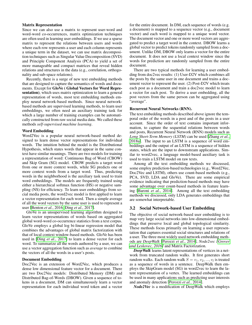#### Matrix Representation

Since we can also use a matrix to represent user-word and word-word co-occurrences, matrix optimization techniques are often used in learning user embeddings. If we use a sparse matrix to represent the relations between users and words where each row represents a user and each column represents a unique term in the dataset, we can use matrix decomposition techniques such as Singular Value Decomposition (SVD) and Principle Component Analysis (PCA) to yield a set of more manageable and compact matrices that reveal hidden relations and structures in the data (e.g., correlation, orthogonality and sub-space relations).

Recently, there is a surge of new text embedding methods that are designed to capture the semantics of words and documents. Except for GloVe ( Global Vectors for Word Representation), which uses matrix optimization to learn a general representation of words, most text embedding methods employ neural network-based methods. Since neural networkbased methods are supervised learning methods, to learn user embeddings, we often need an auxiliary training task for which a large number of training examples can be automatically constructed from raw social media data. We called these methods *self-supervised machine learning*.

#### Word Embedding

Word2Vec is a popular neural network-based method designed to learn dense vector representations for individual words. The intuition behind the model is the Distributional Hypothesis, which states words that appear in the same context have similar meanings. There are two models for training a representation of word: Continuous Bag of Word (CBOW) and Skip Gram (SG) model. CBOW predicts a target word from one or more context words, while SG predicts one or more context words from a target word. Thus, predicting words in the neighborhood is the auxiliary task used to train word embeddings. The models are frequently trained using either a hierarchical softmax function (HS) or negative sampling (NS) for efficiency. To learn user embeddings from social media posts, the word2vec model is first applied to learn a vector representation for each word. Then a simple average of all the word vectors by the same user is used to represent a user [\[Benton](#page-7-2) *et al.*, 2016; Ding *et al.*[, 2017\]](#page-7-8).

GloVe is an unsupervised learning algorithm designed to learn vector representations of words based on aggregated global word-word co-occurrence statistics from a text corpus. GloVe employs a global log bi-linear regression model that combines the advantages of global matrix factorization with that of local context window-based methods. GloVe has been used in [Ding *et al.*[, 2017\]](#page-7-8) to learn a dense vector for each word. To summarize all the words authored by a user, we can use a vector aggregation function such as *average* to combine the vectors of all the words in a user's posts.

#### Document Embedding

Doc2Vec is an extension of Word2Vec, which produces a dense low dimensional feature vector for a document. There are two Doc2Vec models: Distributed Memory (DM) and Distributed Bag-of-Words (DBOW). Given a sequence of tokens in a document, DM can simultaneously learn a vector representation for each individual word token and a vector for the entire document. In DM, each sequence of words (e.g. a document) is mapped to a sequence vector (e.g., document vector) and each word is mapped to a unique word vector. The document vector and one or more word vectors are aggregated to predict a target word in the context. DBOW learns a global vector to predict tokens randomly sampled from a document. Unlike DM, DBOW only learns a vector for the entire document. It does not use a local context window since the words for prediction are randomly sampled from the entire document.

There are two typical methods for learning a user embedding from doc2vec results: (1) User-D2V which combines all the posts by the same user in one document and trains a document vector to represent the user. (2) Post-D2V which treats each post as a document and train a doc2vec model to learn a vector for each post. To derive a user embedding, all the post vectors from the same person can be aggregated using "average".

#### Recurrent Neural Networks (RNN).

The text embedding methods described above ignore the temporal order of the words in a post and of the posts in a user account. Since the order of text contains important information, to capture the sequential relations between words and posts, Recurrent Neural Network (RNN) models such as *Long Short-Term Memory (LSTM)* can be used [\[Zhang](#page-7-28) *et al.*, [2018a\]](#page-7-28). The input to an LSTM is a sequence of word embeddings and the output of an LSTM is a sequence of hidden states, which are the input to downstream applications. Similar to word2vec, a language model-based auxiliary task is used to train a LSTM model on raw texts.

Among all the text embedding methods we discussed, some employ prediction-based technologies (e.g., Word2Vec, Doc2Vec and LSTM), others use count-based methods (e.g., PCA, SVD, LDA and GloVe). There are some empirical evidence indicating that prediction-based methods may have some advantage over count-based methods in feature learning [Baroni *et al.*[, 2014\]](#page-7-32). Among all the text embedding methods we discussed, only LDA generates embeddings that are somewhat interpretable.

#### 3.2 Social Network-based User Embedding

The objective of social network-based user embedding is to map very large social networks into low-dimensional embeddings that preserve local and global topological similarity. These methods focus primarily on learning a user representation that captures essential social structures and relations of a user. The three most widely used network embedding methods are *DeepWalk* [\[Perozzi](#page-7-13) *et al.*, 2014], *Node2vec [\[Grover](#page-7-12) [and Leskovec, 2016\]](#page-7-12)* and Matrix Factorization.

*DeepWalk* learns latent representations of vertices in a network from truncated random walks. It first generates short random walks. Each random walk  $S = v_1, v_2, ..., v_l$  is treated as a sequence of words in a sentence. DeepWalk then employs the SkipGram model (SG) in word2vec to learn the latent representation of a vertex. The learned embeddings can be used in many applications such as predicting user interests and anomaly detection [\[Perozzi](#page-7-13) *et al.*, 2014].

*Node2Vec* is a modification of DeepWalk which employs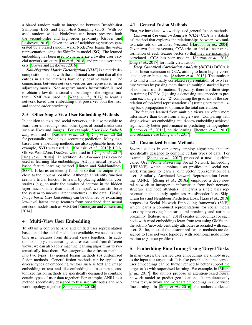a biased random walk to interpolate between Breadth-first Sampling (BFS) and Depth-first Sampling (DFS). With biased random walks, Node2vec can better preserve both the second-order and high-order proximity [\[Grover and](#page-7-12) [Leskovec, 2016\]](#page-7-12). Given the set of neighboring vertices generated by a biased random walk, Node2Vec learns the vertex representation using the SkipGram model (SG). The learned embedding has been used to characterize a Twitter user's social network structure [Do *et al.*[, 2018\]](#page-7-31) and predict user interests [\[Grover and Leskovec, 2016\]](#page-7-12).

*Non-Negative Matrix Factorization (NMF)* is a matrix decomposition method with the additional constraint that all the entries in all the matrices have only positive values. The connections between network vertices are represented in an adjacency matrix. Non-negative matrix factorization is used to obtain a low-dimensional embedding of the original matrix. NMF was used in [Wang *et al.*[, 2017\]](#page-7-25) to learn a network-based user embedding that preserves both the firstand second-order proximity.

### 3.3 Other Single-View User Embedding Methods

In addition to texts and social networks, it is also possible to learn user embeddings from other types of social media data such as likes and images. For example, *User Like Embedding* was used in [\[Kosinski](#page-7-1) *et al.*, 2013; Ding *et al.*[, 2018a\]](#page-7-26) for personality and delay discounting prediction. Many textbased user embedding methods are also applicable here. For example, SVD was used in [\[Kosinski](#page-7-1) *et al.*, 2013]; LDA, GloVe, Word2Vec, Doc2vec were used in [Ding *et al.*[, 2017;](#page-7-8) Ding *et al.*[, 2018a\]](#page-7-26). In addition, *AutoEncoder (AE)* can be used in learning like embeddings. AE is a neural networkbased feature learning method [\[Hinton and Salakhutdinov,](#page-7-33) [2006\]](#page-7-33). It learns an identity function so that the output is as close to the input as possible. Although an identity function seems a trivial function to learn, by placing additional constraints (e.g,, to make the number of neurons in the hidden layer much smaller than that of the input), we can still force the system to uncover latent structures in the data. Finally, *Image-based User Embedding* can be obtained by extracting low-level latent image features from pre-tained deep neural network models such as VGGNet [\[Simonyan and Zisserman,](#page-7-34) [2014\]](#page-7-34).

# 4 Multi-View User Embedding

To obtain a comprehensive and unified user representation based on all the social media data available, we need to combine user features from different views together. In addition to simply concatenating features extracted from different views, we can also apply machine learning algorithms to systematically fuse them. We categorize these fusion methods into two types: (a) general fusion methods (b) customized fusion methods. General fusion methods can be applied to diverse types of embedding vectors such as text and image embedding or text and like embedding . In contrast, customized fusion methods are specifically designed to combine certain types of user data together. For example, ANRL is a method specifically designed to fuse user attributes and network topology together [Zhang *et al.*[, 2018b\]](#page-7-30).

#### 4.1 General Fusion Methods

First, we introduce two widely used general fusion methods.

*Canonical Correlation Analysis (CCA)* CCA is a statistical method that explores the relationships between two multivariate sets of variables (vectors) [\[Hardoon](#page-7-35) *et al.*, 2004]. Given two feature vectors, CCA tries to find a linear transformation of each feature vector so that they are maximally correlated. CCA has been used in [\[Sharma](#page-7-36) *et al.*, 2012; Ding *et al.*[, 2017\]](#page-7-8) for multi-view fusion.

*Deep Canonical Correlation Analysis (DCCA)* DCCA is a non-linear extension of CCA, aiming to learn highly correlated deep architectures [\[Andrew](#page-7-37) *et al.*, 2013]. The intuition is to find a maximally correlated representation of two feature vectors by passing them through multiple stacked layers of nonlinear transformation. Typically, there are three steps in training DCCA: (1) using a denoising autoencoder to pretrain each single view; (2) computing the gradient of the correlation of top-level representation; (3) tuning parameters using back propagation to optimize the total correlation.

The features learned from multiple views are often more informative than those from a single view. Comparing with single-view user embedding, multi-view embedding achieved significantly better performance in predicting demographics [\[Benton](#page-7-2) *et al.*, 2016], politic leaning [\[Benton](#page-7-2) *et al.*, 2016] and substance use [Ding *et al.*[, 2017\]](#page-7-8).

#### 4.2 Customized Fusion Methods

Several studies in our survey employ algorithms that are specifically designed to combine certain types of data. For example, [Zhang *et al.*[, 2017\]](#page-7-24) proposed a new algorithm called User Profile Preserving Social Network Embedding (UPPSNE), which combines user profiles and social network structures to learn a joint vector representation of a user. Similarly, Attributed Network Representation Learning (ANRL) [Zhang *et al.*[, 2018a\]](#page-7-28) employed a deep neural network to incorporate information from both network structure and node attributes. It learns a single user representation that jointly optimizes AutoEncoder loss, Skip-Gram loss and Neighbour Prediction Loss. [Liao *et al.*[, 2018\]](#page-7-27) proposed a Social Network Embedding framework (SNE), which learns a combined representations for social media users by preserving both structural proximity and attribute proximity. [\[Ribeiro](#page-7-29) *et al.*, 2018] creates embeddings for each node with word embeddings learn from text using GloVe and the activity/network-centrality attributes associated with each user. So far, most of the customized fusion methods are designed to fuse network topology with additional node information (e.g., user profiles).

# 5 Embedding Fine Tuning Using Target Tasks

In many cases, the learned user embeddings are simply used as the input to a target task. It is also possible that the learned user embeddings can be further refined to better support the target tasks with supervised learning. For example, in [\[Miura](#page-7-38) *et al.*[, 2017\]](#page-7-38), the authors propose an attention-based neural network model to predict geo-location. It simultaneously learns text, network and metadata embeddings in supervised fine turning. In [Song *et al.*[, 2016\]](#page-7-21), the authors collected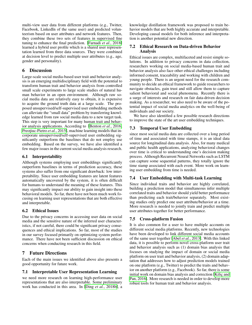multi-view user data from different platforms (e.g., Twitter, Facebook, LinkedIn of the same user) and predicted volunteerism based on user attributes and network features. Then, they combine these two sets of features in supervised fine tuning to enhance the final prediction. [\[Farnadi](#page-7-39) *et al.*, 2018] learned a hybrid user profile which is a shared user representation learned from three data sources. They were combined at decision level to predict multiple user attributes (e.g., age, gender and personality).

# 6 Discussion

Large-scale social media-based user trait and behavior analysis is an emerging multidisciplinary field with the potential to transform human trait and behavior analysis from controlled small scale experiments to large scale studies of natural human behavior in an open environment. Although raw social media data are relatively easy to obtain, it is expensive to acquire the ground truth data at a large scale. The proposed unsupervised/self-supervised user embedding methods can alleviate the "small data" problem by transferring knowledge learned from raw social media data to a new target task. This step is very important for many human trait and behavior analysis applications. According to [\[Benton](#page-7-2) *et al.*, 2016; Preotiuc-Pietro *et al.*, 2015], machine learning models that incorporate unsupervised/self-supervised user embedding significantly outperform the baselines that do not employ use embedding. Based on the survey, we have also identified a few major issues in the current social media analysis research.

# 6.1 Interpretability

Although systems employing user embeddings significantly outperform baselines in terms of prediction accuracy, these systems also suffer from one significant drawback: low interpretability. Since user embedding features are latent features automatically uncovered by the system, it is often difficult for humans to understand the meaning of these features. This may significantly impact our ability to gain insight into these behavioral models. So far, there have not been much work focusing on learning user representations that are both effective and interpretable.

# 6.2 Ethical Issues

Due to the privacy concerns in accessing user data on social media and the sensitive nature of the inferred user characteristics, if not careful, there could be significant privacy consequences and ethical implications. So far, most of the studies in our survey focused primarily on optimizing system performance. There have not been sufficient discussion on ethical concerns when conducting research in this field.

# 7 Future Directions

Each of the main issues we identified above also presents a good opportunity for future work.

# 7.1 Interpretable User Representation Learning

we need more research on learning high-performance user representations that are also interpretable. Some preliminary work has conducted in this area. In [Ding *et al.*[, 2018b\]](#page-7-40), a knowledge distillation framework was proposed to train behavior models that are both highly accurate and interpretable. Developing causal models for both inference and interpretation is another potential new direction.

# 7.2 Ethical Research on Data-driven Behavior Analysis

Ethical issues are complex, multifaceted and resist simple solutions. In addition to privacy concerns in data collection, researchers working on social media-based human trait and behavior analysis also face other ethical challenges including informed consent, traceability and working with children and young people. There is an urgent need for the research community to decide an ethical framework to guide researchers to navigate obstacles, gain trust and still allow them to capture salient behavioral and social phenomena. Recently there is a surge of interests and research on fair data-driven decision making. As a researcher, we also need to be aware of the potential impact of social media analytics on the well-being of individuals and our society.

We have also identified a few possible research directions to improve the state of the art user embedding techniques.

# 7.3 Temporal User Embedding

since most social media data are collected over a long period of time and associated with time stamps, it is an ideal data source for longitudinal data analysis. Also, for many medical and public health applications, analyzing behavioral changes over time is critical to understanding one's decision making process. Although Recurrent Neural Networks such as LSTM can capture some sequential patterns, they totally ignore the time stamp associated with each event. More work on learning user embedding from time is needed.

# 7.4 User Embedding with Multi-task Learning

Since individual traits and behavior are highly correlated, building a prediction model that simultaneous infer multiple correlated traits and behavior should yield better performance than predicting each trait/behavior separately. Most existing studies only predict one user attribute/behavior at a time. More research is needed to jointly train and predict multiple user attributes together for better performance.

# 7.5 Cross-platform Fusion

It is also common for a user to have multiple accounts on different social media platforms. Recently, new technologies have been developed to link different social media accounts of the same user together [Abel *et al.*[, 2013\]](#page-7-41). With this linked data, it is possible to perform novel cross-platform user trait and behavior analysis such as (1) domain bias analysis that focuses on studying the impact of domain or social media platform on user trait and behavior analysis, (2) domain adaptation that addresses how to adjust prediction models trained on one platform (e.g., Twitter) to predict the traits and behavior on another platform (e.g., Facebook). So far, there is some initial work on domain bias analysis and correction [Kilic and [Pan, 2016\]](#page-7-42). More research is needed in order to develop more robust tools for human trait and behavior analysis.